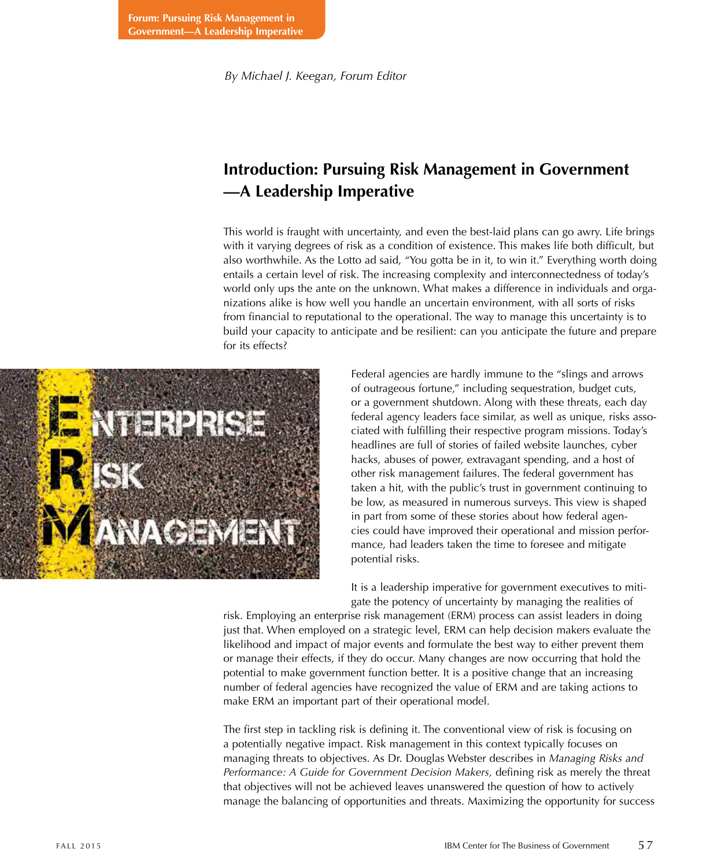*By Michael J. Keegan, Forum Editor*

## **Introduction: Pursuing Risk Management in Government —A Leadership Imperative**

This world is fraught with uncertainty, and even the best-laid plans can go awry. Life brings with it varying degrees of risk as a condition of existence. This makes life both difficult, but also worthwhile. As the Lotto ad said, "You gotta be in it, to win it." Everything worth doing entails a certain level of risk. The increasing complexity and interconnectedness of today's world only ups the ante on the unknown. What makes a difference in individuals and organizations alike is how well you handle an uncertain environment, with all sorts of risks from financial to reputational to the operational. The way to manage this uncertainty is to build your capacity to anticipate and be resilient: can you anticipate the future and prepare for its effects?



Federal agencies are hardly immune to the "slings and arrows of outrageous fortune," including sequestration, budget cuts, or a government shutdown. Along with these threats, each day federal agency leaders face similar, as well as unique, risks associated with fulfilling their respective program missions. Today's headlines are full of stories of failed website launches, cyber hacks, abuses of power, extravagant spending, and a host of other risk management failures. The federal government has taken a hit, with the public's trust in government continuing to be low, as measured in numerous surveys. This view is shaped in part from some of these stories about how federal agencies could have improved their operational and mission performance, had leaders taken the time to foresee and mitigate potential risks.

It is a leadership imperative for government executives to mitigate the potency of uncertainty by managing the realities of

risk. Employing an enterprise risk management (ERM) process can assist leaders in doing just that. When employed on a strategic level, ERM can help decision makers evaluate the likelihood and impact of major events and formulate the best way to either prevent them or manage their effects, if they do occur. Many changes are now occurring that hold the potential to make government function better. It is a positive change that an increasing number of federal agencies have recognized the value of ERM and are taking actions to make ERM an important part of their operational model.

The first step in tackling risk is defining it. The conventional view of risk is focusing on a potentially negative impact. Risk management in this context typically focuses on managing threats to objectives. As Dr. Douglas Webster describes in *Managing Risks and Performance: A Guide for Government Decision Makers,* defining risk as merely the threat that objectives will not be achieved leaves unanswered the question of how to actively manage the balancing of opportunities and threats. Maximizing the opportunity for success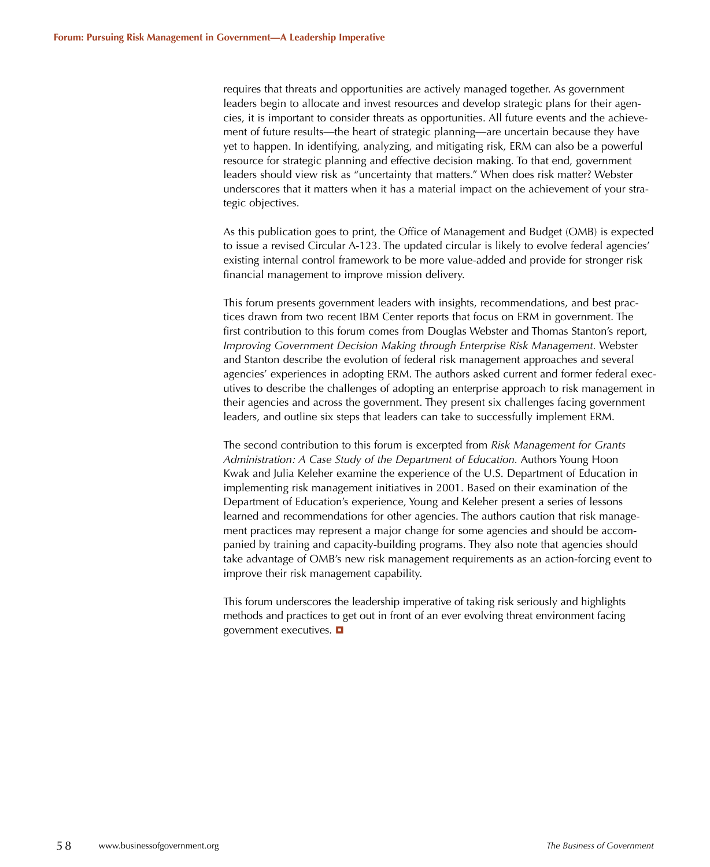requires that threats and opportunities are actively managed together. As government leaders begin to allocate and invest resources and develop strategic plans for their agencies, it is important to consider threats as opportunities. All future events and the achievement of future results—the heart of strategic planning—are uncertain because they have yet to happen. In identifying, analyzing, and mitigating risk, ERM can also be a powerful resource for strategic planning and effective decision making. To that end, government leaders should view risk as "uncertainty that matters." When does risk matter? Webster underscores that it matters when it has a material impact on the achievement of your strategic objectives.

As this publication goes to print, the Office of Management and Budget (OMB) is expected to issue a revised Circular A-123. The updated circular is likely to evolve federal agencies' existing internal control framework to be more value-added and provide for stronger risk financial management to improve mission delivery.

This forum presents government leaders with insights, recommendations, and best practices drawn from two recent IBM Center reports that focus on ERM in government. The first contribution to this forum comes from Douglas Webster and Thomas Stanton's report, *Improving Government Decision Making through Enterprise Risk Management.* Webster and Stanton describe the evolution of federal risk management approaches and several agencies' experiences in adopting ERM. The authors asked current and former federal executives to describe the challenges of adopting an enterprise approach to risk management in their agencies and across the government. They present six challenges facing government leaders, and outline six steps that leaders can take to successfully implement ERM.

The second contribution to this forum is excerpted from *Risk Management for Grants Administration: A Case Study of the Department of Education.* Authors Young Hoon Kwak and Julia Keleher examine the experience of the U.S. Department of Education in implementing risk management initiatives in 2001. Based on their examination of the Department of Education's experience, Young and Keleher present a series of lessons learned and recommendations for other agencies. The authors caution that risk management practices may represent a major change for some agencies and should be accompanied by training and capacity-building programs. They also note that agencies should take advantage of OMB's new risk management requirements as an action-forcing event to improve their risk management capability.

This forum underscores the leadership imperative of taking risk seriously and highlights methods and practices to get out in front of an ever evolving threat environment facing government executives.  $\blacksquare$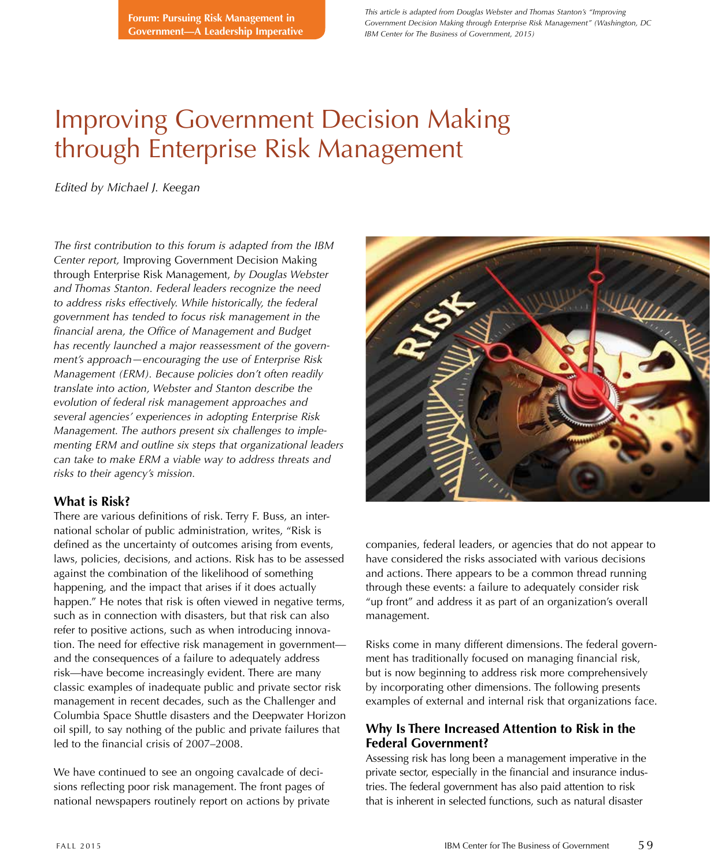*This article is adapted from Douglas Webster and Thomas Stanton's "Improving Government Decision Making through Enterprise Risk Management" (Washington, DC IBM Center for The Business of Government, 2015)*

# Improving Government Decision Making through Enterprise Risk Management

*Edited by Michael J. Keegan*

*The first contribution to this forum is adapted from the IBM Center report,* Improving Government Decision Making through Enterprise Risk Management, *by Douglas Webster and Thomas Stanton. Federal leaders recognize the need to address risks effectively. While historically, the federal government has tended to focus risk management in the financial arena, the Office of Management and Budget has recently launched a major reassessment of the government's approach—encouraging the use of Enterprise Risk Management (ERM). Because policies don't often readily translate into action, Webster and Stanton describe the evolution of federal risk management approaches and several agencies' experiences in adopting Enterprise Risk Management. The authors present six challenges to implementing ERM and outline six steps that organizational leaders can take to make ERM a viable way to address threats and risks to their agency's mission.* 

## **What is Risk?**

There are various definitions of risk. Terry F. Buss, an international scholar of public administration, writes, "Risk is defined as the uncertainty of outcomes arising from events, laws, policies, decisions, and actions. Risk has to be assessed against the combination of the likelihood of something happening, and the impact that arises if it does actually happen." He notes that risk is often viewed in negative terms, such as in connection with disasters, but that risk can also refer to positive actions, such as when introducing innovation. The need for effective risk management in government and the consequences of a failure to adequately address risk—have become increasingly evident. There are many classic examples of inadequate public and private sector risk management in recent decades, such as the Challenger and Columbia Space Shuttle disasters and the Deepwater Horizon oil spill, to say nothing of the public and private failures that led to the financial crisis of 2007–2008.

We have continued to see an ongoing cavalcade of decisions reflecting poor risk management. The front pages of national newspapers routinely report on actions by private



companies, federal leaders, or agencies that do not appear to have considered the risks associated with various decisions and actions. There appears to be a common thread running through these events: a failure to adequately consider risk "up front" and address it as part of an organization's overall management.

Risks come in many different dimensions. The federal government has traditionally focused on managing financial risk, but is now beginning to address risk more comprehensively by incorporating other dimensions. The following presents examples of external and internal risk that organizations face.

## **Why Is There Increased Attention to Risk in the Federal Government?**

Assessing risk has long been a management imperative in the private sector, especially in the financial and insurance industries. The federal government has also paid attention to risk that is inherent in selected functions, such as natural disaster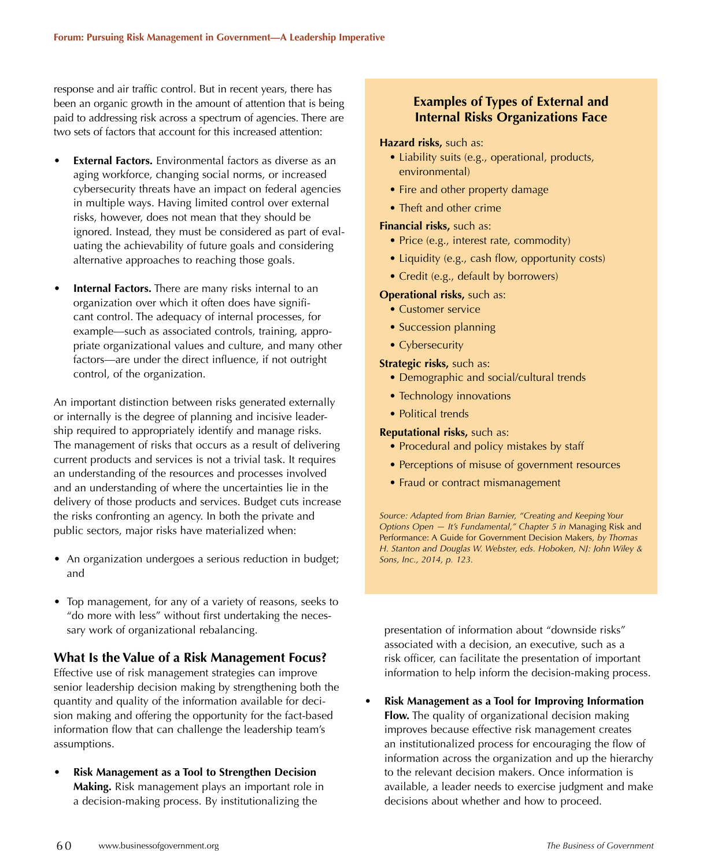response and air traffic control. But in recent years, there has been an organic growth in the amount of attention that is being paid to addressing risk across a spectrum of agencies. There are two sets of factors that account for this increased attention:

- **External Factors.** Environmental factors as diverse as an aging workforce, changing social norms, or increased cybersecurity threats have an impact on federal agencies in multiple ways. Having limited control over external risks, however, does not mean that they should be ignored. Instead, they must be considered as part of evaluating the achievability of future goals and considering alternative approaches to reaching those goals.
- **Internal Factors.** There are many risks internal to an organization over which it often does have significant control. The adequacy of internal processes, for example—such as associated controls, training, appropriate organizational values and culture, and many other factors—are under the direct influence, if not outright control, of the organization.

An important distinction between risks generated externally or internally is the degree of planning and incisive leadership required to appropriately identify and manage risks. The management of risks that occurs as a result of delivering current products and services is not a trivial task. It requires an understanding of the resources and processes involved and an understanding of where the uncertainties lie in the delivery of those products and services. Budget cuts increase the risks confronting an agency. In both the private and public sectors, major risks have materialized when:

- An organization undergoes a serious reduction in budget; and
- Top management, for any of a variety of reasons, seeks to "do more with less" without first undertaking the necessary work of organizational rebalancing.

## **What Is the Value of a Risk Management Focus?**

Effective use of risk management strategies can improve senior leadership decision making by strengthening both the quantity and quality of the information available for decision making and offering the opportunity for the fact-based information flow that can challenge the leadership team's assumptions.

• **Risk Management as a Tool to Strengthen Decision Making.** Risk management plays an important role in a decision-making process. By institutionalizing the

## **Examples of Types of External and Internal Risks Organizations Face**

#### **Hazard risks,** such as:

- Liability suits (e.g., operational, products, environmental)
- Fire and other property damage
- Theft and other crime

#### **Financial risks,** such as:

- Price (e.g., interest rate, commodity)
- Liquidity (e.g., cash flow, opportunity costs)
- Credit (e.g., default by borrowers)

#### **Operational risks,** such as:

- Customer service
- Succession planning
- Cybersecurity

#### **Strategic risks,** such as:

- Demographic and social/cultural trends
- Technology innovations
- Political trends

#### **Reputational risks,** such as:

- Procedural and policy mistakes by staff
- Perceptions of misuse of government resources
- Fraud or contract mismanagement

*Source: Adapted from Brian Barnier, "Creating and Keeping Your Options Open — It's Fundamental," Chapter 5 in* Managing Risk and Performance: A Guide for Government Decision Makers*, by Thomas H. Stanton and Douglas W. Webster, eds. Hoboken, NJ: John Wiley & Sons, Inc., 2014, p. 123.*

presentation of information about "downside risks" associated with a decision, an executive, such as a risk officer, can facilitate the presentation of important information to help inform the decision-making process.

• **Risk Management as a Tool for Improving Information Flow.** The quality of organizational decision making improves because effective risk management creates an institutionalized process for encouraging the flow of information across the organization and up the hierarchy to the relevant decision makers. Once information is available, a leader needs to exercise judgment and make decisions about whether and how to proceed.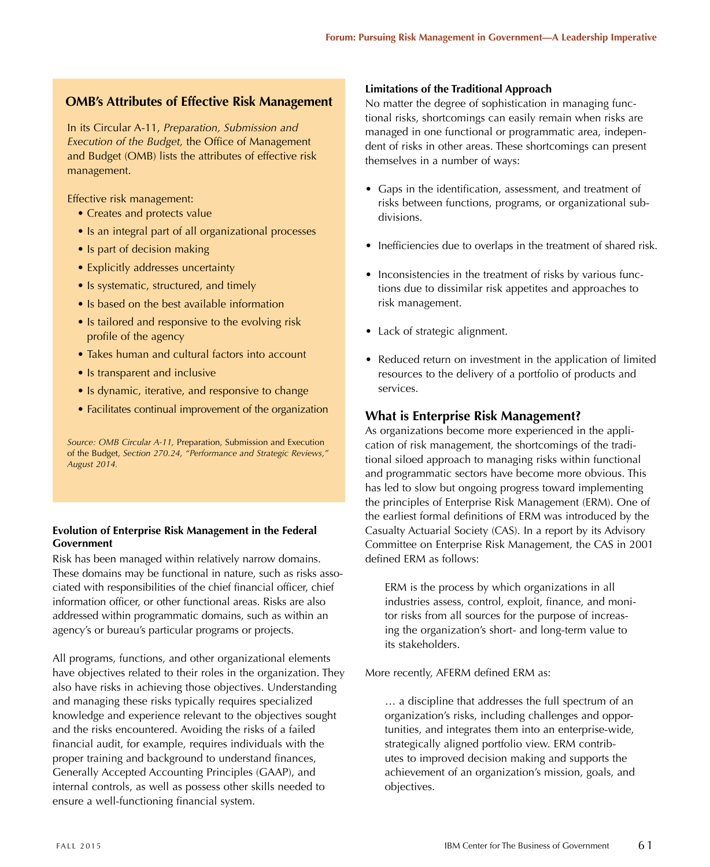## **OMB's Attributes of Effective Risk Management**

In its Circular A-11, *Preparation, Submission and Execution of the Budget,* the Office of Management and Budget (OMB) lists the attributes of effective risk management.

Effective risk management:

- Creates and protects value
- Is an integral part of all organizational processes
- Is part of decision making
- Explicitly addresses uncertainty
- Is systematic, structured, and timely
- Is based on the best available information
- Is tailored and responsive to the evolving risk profile of the agency
- Takes human and cultural factors into account
- Is transparent and inclusive
- Is dynamic, iterative, and responsive to change
- Facilitates continual improvement of the organization

*Source: OMB Circular A-11,* Preparation, Submission and Execution of the Budget, *Section 270.24, "Performance and Strategic Reviews," August 2014.*

### **Evolution of Enterprise Risk Management in the Federal Government**

Risk has been managed within relatively narrow domains. These domains may be functional in nature, such as risks associated with responsibilities of the chief financial officer, chief information officer, or other functional areas. Risks are also addressed within programmatic domains, such as within an agency's or bureau's particular programs or projects.

All programs, functions, and other organizational elements have objectives related to their roles in the organization. They also have risks in achieving those objectives. Understanding and managing these risks typically requires specialized knowledge and experience relevant to the objectives sought and the risks encountered. Avoiding the risks of a failed financial audit, for example, requires individuals with the proper training and background to understand finances, Generally Accepted Accounting Principles (GAAP), and internal controls, as well as possess other skills needed to ensure a well-functioning financial system.

#### **Limitations of the Traditional Approach**

No matter the degree of sophistication in managing functional risks, shortcomings can easily remain when risks are managed in one functional or programmatic area, independent of risks in other areas. These shortcomings can present themselves in a number of ways:

- Gaps in the identification, assessment, and treatment of risks between functions, programs, or organizational subdivisions.
- Inefficiencies due to overlaps in the treatment of shared risk.
- Inconsistencies in the treatment of risks by various functions due to dissimilar risk appetites and approaches to risk management.
- Lack of strategic alignment.
- Reduced return on investment in the application of limited resources to the delivery of a portfolio of products and services.

## **What is Enterprise Risk Management?**

As organizations become more experienced in the application of risk management, the shortcomings of the traditional siloed approach to managing risks within functional and programmatic sectors have become more obvious. This has led to slow but ongoing progress toward implementing the principles of Enterprise Risk Management (ERM). One of the earliest formal definitions of ERM was introduced by the Casualty Actuarial Society (CAS). In a report by its Advisory Committee on Enterprise Risk Management, the CAS in 2001 defined ERM as follows:

ERM is the process by which organizations in all industries assess, control, exploit, finance, and monitor risks from all sources for the purpose of increasing the organization's short- and long-term value to its stakeholders.

More recently, AFERM defined ERM as:

… a discipline that addresses the full spectrum of an organization's risks, including challenges and opportunities, and integrates them into an enterprise-wide, strategically aligned portfolio view. ERM contributes to improved decision making and supports the achievement of an organization's mission, goals, and objectives.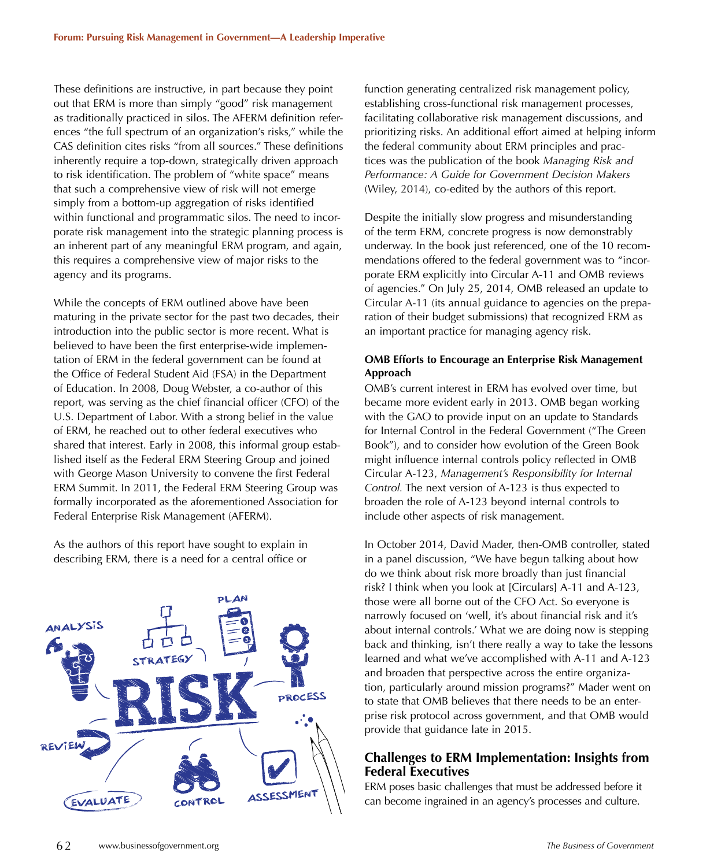These definitions are instructive, in part because they point out that ERM is more than simply "good" risk management as traditionally practiced in silos. The AFERM definition references "the full spectrum of an organization's risks," while the CAS definition cites risks "from all sources." These definitions inherently require a top-down, strategically driven approach to risk identification. The problem of "white space" means that such a comprehensive view of risk will not emerge simply from a bottom-up aggregation of risks identified within functional and programmatic silos. The need to incorporate risk management into the strategic planning process is an inherent part of any meaningful ERM program, and again, this requires a comprehensive view of major risks to the agency and its programs.

While the concepts of ERM outlined above have been maturing in the private sector for the past two decades, their introduction into the public sector is more recent. What is believed to have been the first enterprise-wide implementation of ERM in the federal government can be found at the Office of Federal Student Aid (FSA) in the Department of Education. In 2008, Doug Webster, a co-author of this report, was serving as the chief financial officer (CFO) of the U.S. Department of Labor. With a strong belief in the value of ERM, he reached out to other federal executives who shared that interest. Early in 2008, this informal group established itself as the Federal ERM Steering Group and joined with George Mason University to convene the first Federal ERM Summit. In 2011, the Federal ERM Steering Group was formally incorporated as the aforementioned Association for Federal Enterprise Risk Management (AFERM).

As the authors of this report have sought to explain in describing ERM, there is a need for a central office or



function generating centralized risk management policy, establishing cross-functional risk management processes, facilitating collaborative risk management discussions, and prioritizing risks. An additional effort aimed at helping inform the federal community about ERM principles and practices was the publication of the book *Managing Risk and Performance: A Guide for Government Decision Makers* (Wiley, 2014), co-edited by the authors of this report.

Despite the initially slow progress and misunderstanding of the term ERM, concrete progress is now demonstrably underway. In the book just referenced, one of the 10 recommendations offered to the federal government was to "incorporate ERM explicitly into Circular A-11 and OMB reviews of agencies." On July 25, 2014, OMB released an update to Circular A-11 (its annual guidance to agencies on the preparation of their budget submissions) that recognized ERM as an important practice for managing agency risk.

#### **OMB Efforts to Encourage an Enterprise Risk Management Approach**

OMB's current interest in ERM has evolved over time, but became more evident early in 2013. OMB began working with the GAO to provide input on an update to Standards for Internal Control in the Federal Government ("The Green Book"), and to consider how evolution of the Green Book might influence internal controls policy reflected in OMB Circular A-123, *Management's Responsibility for Internal Control.* The next version of A-123 is thus expected to broaden the role of A-123 beyond internal controls to include other aspects of risk management.

In October 2014, David Mader, then-OMB controller, stated in a panel discussion, "We have begun talking about how do we think about risk more broadly than just financial risk? I think when you look at [Circulars] A-11 and A-123, those were all borne out of the CFO Act. So everyone is narrowly focused on 'well, it's about financial risk and it's about internal controls.' What we are doing now is stepping back and thinking, isn't there really a way to take the lessons learned and what we've accomplished with A-11 and A-123 and broaden that perspective across the entire organization, particularly around mission programs?" Mader went on to state that OMB believes that there needs to be an enterprise risk protocol across government, and that OMB would provide that guidance late in 2015.

## **Challenges to ERM Implementation: Insights from Federal Executives**

ERM poses basic challenges that must be addressed before it can become ingrained in an agency's processes and culture.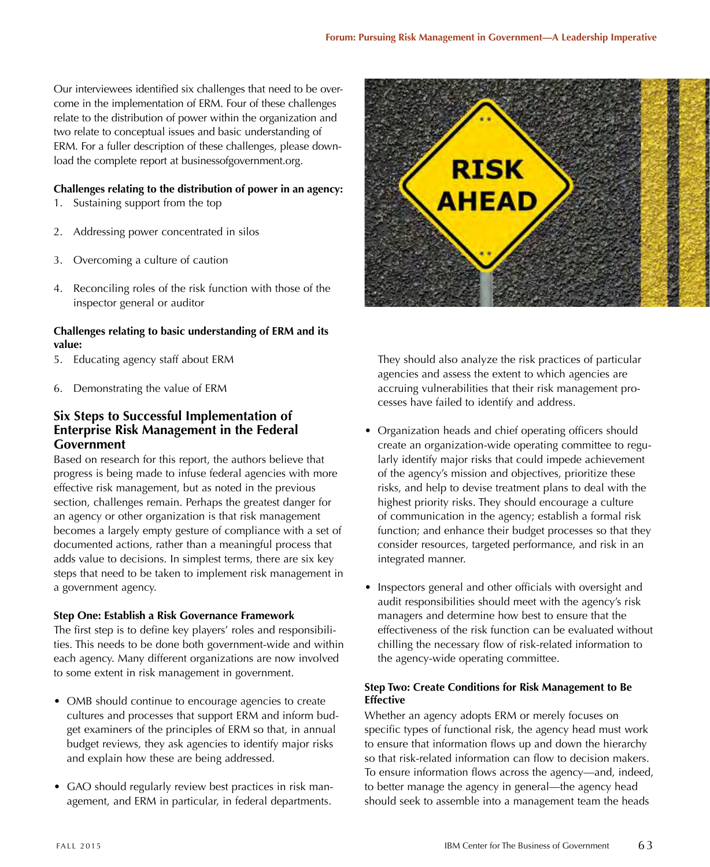Our interviewees identified six challenges that need to be overcome in the implementation of ERM. Four of these challenges relate to the distribution of power within the organization and two relate to conceptual issues and basic understanding of ERM. For a fuller description of these challenges, please download the complete report at businessofgovernment.org.

#### **Challenges relating to the distribution of power in an agency:**

- 1. Sustaining support from the top
- 2. Addressing power concentrated in silos
- 3. Overcoming a culture of caution
- 4. Reconciling roles of the risk function with those of the inspector general or auditor

#### **Challenges relating to basic understanding of ERM and its value:**

- 5. Educating agency staff about ERM
- 6. Demonstrating the value of ERM

## **Six Steps to Successful Implementation of Enterprise Risk Management in the Federal Government**

Based on research for this report, the authors believe that progress is being made to infuse federal agencies with more effective risk management, but as noted in the previous section, challenges remain. Perhaps the greatest danger for an agency or other organization is that risk management becomes a largely empty gesture of compliance with a set of documented actions, rather than a meaningful process that adds value to decisions. In simplest terms, there are six key steps that need to be taken to implement risk management in a government agency.

#### **Step One: Establish a Risk Governance Framework**

The first step is to define key players' roles and responsibilities. This needs to be done both government-wide and within each agency. Many different organizations are now involved to some extent in risk management in government.

- OMB should continue to encourage agencies to create cultures and processes that support ERM and inform budget examiners of the principles of ERM so that, in annual budget reviews, they ask agencies to identify major risks and explain how these are being addressed.
- GAO should regularly review best practices in risk management, and ERM in particular, in federal departments.



They should also analyze the risk practices of particular agencies and assess the extent to which agencies are accruing vulnerabilities that their risk management processes have failed to identify and address.

- Organization heads and chief operating officers should create an organization-wide operating committee to regularly identify major risks that could impede achievement of the agency's mission and objectives, prioritize these risks, and help to devise treatment plans to deal with the highest priority risks. They should encourage a culture of communication in the agency; establish a formal risk function; and enhance their budget processes so that they consider resources, targeted performance, and risk in an integrated manner.
- Inspectors general and other officials with oversight and audit responsibilities should meet with the agency's risk managers and determine how best to ensure that the effectiveness of the risk function can be evaluated without chilling the necessary flow of risk-related information to the agency-wide operating committee.

#### **Step Two: Create Conditions for Risk Management to Be Effective**

Whether an agency adopts ERM or merely focuses on specific types of functional risk, the agency head must work to ensure that information flows up and down the hierarchy so that risk-related information can flow to decision makers. To ensure information flows across the agency—and, indeed, to better manage the agency in general—the agency head should seek to assemble into a management team the heads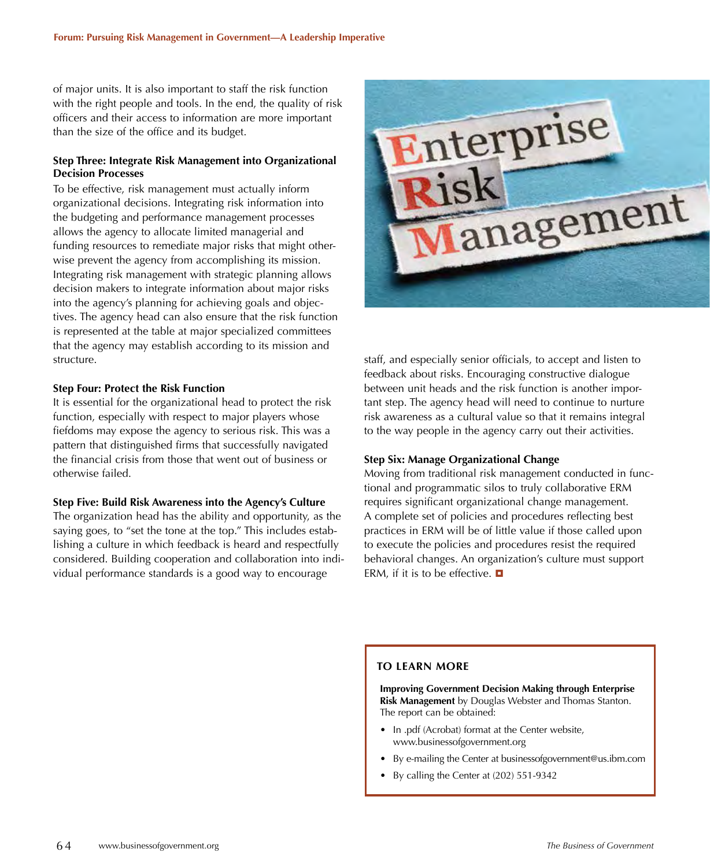of major units. It is also important to staff the risk function with the right people and tools. In the end, the quality of risk officers and their access to information are more important than the size of the office and its budget.

#### **Step Three: Integrate Risk Management into Organizational Decision Processes**

To be effective, risk management must actually inform organizational decisions. Integrating risk information into the budgeting and performance management processes allows the agency to allocate limited managerial and funding resources to remediate major risks that might otherwise prevent the agency from accomplishing its mission. Integrating risk management with strategic planning allows decision makers to integrate information about major risks into the agency's planning for achieving goals and objectives. The agency head can also ensure that the risk function is represented at the table at major specialized committees that the agency may establish according to its mission and structure.

#### **Step Four: Protect the Risk Function**

It is essential for the organizational head to protect the risk function, especially with respect to major players whose fiefdoms may expose the agency to serious risk. This was a pattern that distinguished firms that successfully navigated the financial crisis from those that went out of business or otherwise failed.

#### **Step Five: Build Risk Awareness into the Agency's Culture**

The organization head has the ability and opportunity, as the saying goes, to "set the tone at the top." This includes establishing a culture in which feedback is heard and respectfully considered. Building cooperation and collaboration into individual performance standards is a good way to encourage



staff, and especially senior officials, to accept and listen to feedback about risks. Encouraging constructive dialogue between unit heads and the risk function is another important step. The agency head will need to continue to nurture risk awareness as a cultural value so that it remains integral to the way people in the agency carry out their activities.

#### **Step Six: Manage Organizational Change**

Moving from traditional risk management conducted in functional and programmatic silos to truly collaborative ERM requires significant organizational change management. A complete set of policies and procedures reflecting best practices in ERM will be of little value if those called upon to execute the policies and procedures resist the required behavioral changes. An organization's culture must support ERM, if it is to be effective.  $\blacksquare$ 

#### **TO LEARN MORE**

**Improving Government Decision Making through Enterprise Risk Management** by Douglas Webster and Thomas Stanton. The report can be obtained:

- In .pdf (Acrobat) format at the Center website, www.businessofgovernment.org
- By e-mailing the Center at businessofgovernment@us.ibm.com
- By calling the Center at (202) 551-9342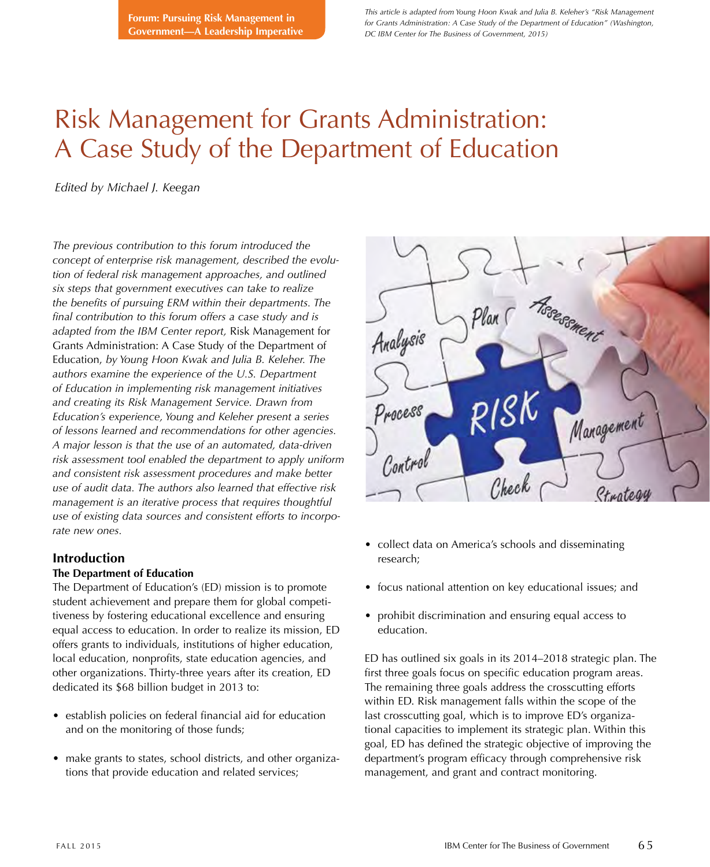*This article is adapted from Young Hoon Kwak and Julia B. Keleher's "Risk Management for Grants Administration: A Case Study of the Department of Education" (Washington, DC IBM Center for The Business of Government, 2015)*

## Risk Management for Grants Administration: A Case Study of the Department of Education

*Edited by Michael J. Keegan*

*The previous contribution to this forum introduced the concept of enterprise risk management, described the evolution of federal risk management approaches, and outlined six steps that government executives can take to realize the benefits of pursuing ERM within their departments. The final contribution to this forum offers a case study and is adapted from the IBM Center report,* Risk Management for Grants Administration: A Case Study of the Department of Education, *by Young Hoon Kwak and Julia B. Keleher. The authors examine the experience of the U.S. Department of Education in implementing risk management initiatives and creating its Risk Management Service. Drawn from Education's experience, Young and Keleher present a series of lessons learned and recommendations for other agencies. A major lesson is that the use of an automated, data-driven risk assessment tool enabled the department to apply uniform and consistent risk assessment procedures and make better use of audit data. The authors also learned that effective risk management is an iterative process that requires thoughtful use of existing data sources and consistent efforts to incorporate new ones.*

## **Introduction**

#### **The Department of Education**

The Department of Education's (ED) mission is to promote student achievement and prepare them for global competitiveness by fostering educational excellence and ensuring equal access to education. In order to realize its mission, ED offers grants to individuals, institutions of higher education, local education, nonprofits, state education agencies, and other organizations. Thirty-three years after its creation, ED dedicated its \$68 billion budget in 2013 to:

- establish policies on federal financial aid for education and on the monitoring of those funds;
- make grants to states, school districts, and other organizations that provide education and related services;



- collect data on America's schools and disseminating research;
- focus national attention on key educational issues; and
- prohibit discrimination and ensuring equal access to education.

ED has outlined six goals in its 2014–2018 strategic plan. The first three goals focus on specific education program areas. The remaining three goals address the crosscutting efforts within ED. Risk management falls within the scope of the last crosscutting goal, which is to improve ED's organizational capacities to implement its strategic plan. Within this goal, ED has defined the strategic objective of improving the department's program efficacy through comprehensive risk management, and grant and contract monitoring.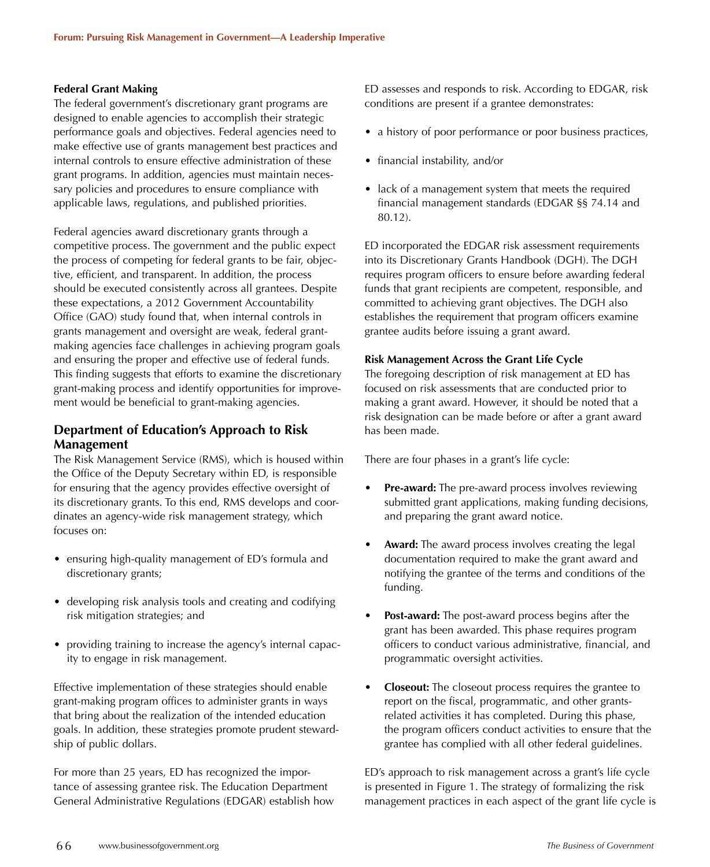#### **Federal Grant Making**

The federal government's discretionary grant programs are designed to enable agencies to accomplish their strategic performance goals and objectives. Federal agencies need to make effective use of grants management best practices and internal controls to ensure effective administration of these grant programs. In addition, agencies must maintain necessary policies and procedures to ensure compliance with applicable laws, regulations, and published priorities.

Federal agencies award discretionary grants through a competitive process. The government and the public expect the process of competing for federal grants to be fair, objective, efficient, and transparent. In addition, the process should be executed consistently across all grantees. Despite these expectations, a 2012 Government Accountability Office (GAO) study found that, when internal controls in grants management and oversight are weak, federal grantmaking agencies face challenges in achieving program goals and ensuring the proper and effective use of federal funds. This finding suggests that efforts to examine the discretionary grant-making process and identify opportunities for improvement would be beneficial to grant-making agencies.

## **Department of Education's Approach to Risk Management**

The Risk Management Service (RMS), which is housed within the Office of the Deputy Secretary within ED, is responsible for ensuring that the agency provides effective oversight of its discretionary grants. To this end, RMS develops and coordinates an agency-wide risk management strategy, which focuses on:

- ensuring high-quality management of ED's formula and discretionary grants;
- developing risk analysis tools and creating and codifying risk mitigation strategies; and
- providing training to increase the agency's internal capacity to engage in risk management.

Effective implementation of these strategies should enable grant-making program offices to administer grants in ways that bring about the realization of the intended education goals. In addition, these strategies promote prudent stewardship of public dollars.

For more than 25 years, ED has recognized the importance of assessing grantee risk. The Education Department General Administrative Regulations (EDGAR) establish how ED assesses and responds to risk. According to EDGAR, risk conditions are present if a grantee demonstrates:

- a history of poor performance or poor business practices,
- financial instability, and/or
- lack of a management system that meets the required financial management standards (EDGAR §§ 74.14 and 80.12).

ED incorporated the EDGAR risk assessment requirements into its Discretionary Grants Handbook (DGH). The DGH requires program officers to ensure before awarding federal funds that grant recipients are competent, responsible, and committed to achieving grant objectives. The DGH also establishes the requirement that program officers examine grantee audits before issuing a grant award.

#### **Risk Management Across the Grant Life Cycle**

The foregoing description of risk management at ED has focused on risk assessments that are conducted prior to making a grant award. However, it should be noted that a risk designation can be made before or after a grant award has been made.

There are four phases in a grant's life cycle:

- **Pre-award:** The pre-award process involves reviewing submitted grant applications, making funding decisions, and preparing the grant award notice.
- Award: The award process involves creating the legal documentation required to make the grant award and notifying the grantee of the terms and conditions of the funding.
- **Post-award:** The post-award process begins after the grant has been awarded. This phase requires program officers to conduct various administrative, financial, and programmatic oversight activities.
- **Closeout:** The closeout process requires the grantee to report on the fiscal, programmatic, and other grantsrelated activities it has completed. During this phase, the program officers conduct activities to ensure that the grantee has complied with all other federal guidelines.

ED's approach to risk management across a grant's life cycle is presented in Figure 1. The strategy of formalizing the risk management practices in each aspect of the grant life cycle is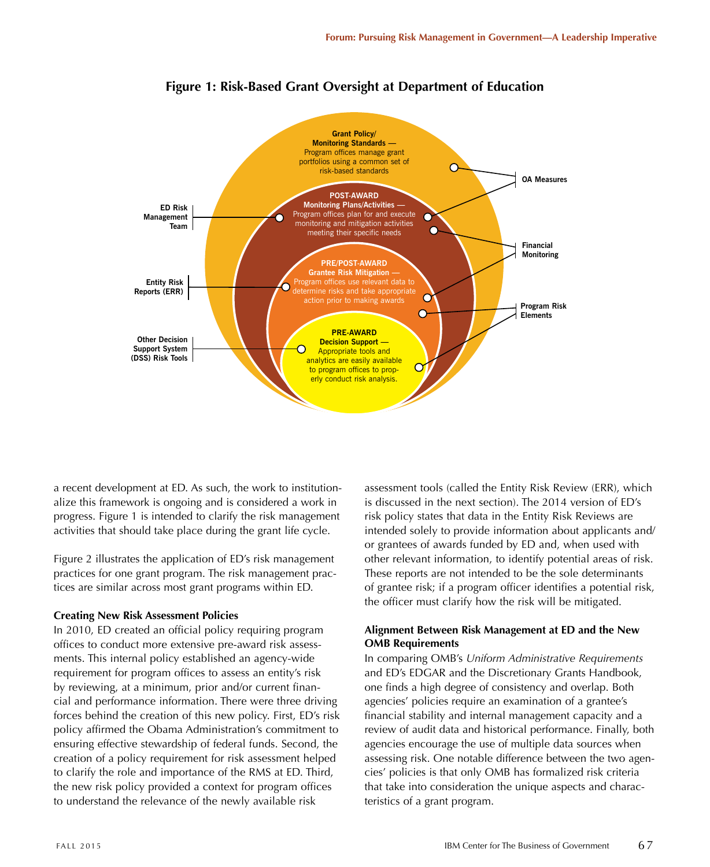

**Figure 1: Risk-Based Grant Oversight at Department of Education**

a recent development at ED. As such, the work to institutionalize this framework is ongoing and is considered a work in progress. Figure 1 is intended to clarify the risk management activities that should take place during the grant life cycle.

Figure 2 illustrates the application of ED's risk management practices for one grant program. The risk management practices are similar across most grant programs within ED.

#### **Creating New Risk Assessment Policies**

In 2010, ED created an official policy requiring program offices to conduct more extensive pre-award risk assessments. This internal policy established an agency-wide requirement for program offices to assess an entity's risk by reviewing, at a minimum, prior and/or current financial and performance information. There were three driving forces behind the creation of this new policy. First, ED's risk policy affirmed the Obama Administration's commitment to ensuring effective stewardship of federal funds. Second, the creation of a policy requirement for risk assessment helped to clarify the role and importance of the RMS at ED. Third, the new risk policy provided a context for program offices to understand the relevance of the newly available risk

assessment tools (called the Entity Risk Review (ERR), which is discussed in the next section). The 2014 version of ED's risk policy states that data in the Entity Risk Reviews are intended solely to provide information about applicants and/ or grantees of awards funded by ED and, when used with other relevant information, to identify potential areas of risk. These reports are not intended to be the sole determinants of grantee risk; if a program officer identifies a potential risk, the officer must clarify how the risk will be mitigated.

#### **Alignment Between Risk Management at ED and the New OMB Requirements**

In comparing OMB's *Uniform Administrative Requirements* and ED's EDGAR and the Discretionary Grants Handbook, one finds a high degree of consistency and overlap. Both agencies' policies require an examination of a grantee's financial stability and internal management capacity and a review of audit data and historical performance. Finally, both agencies encourage the use of multiple data sources when assessing risk. One notable difference between the two agencies' policies is that only OMB has formalized risk criteria that take into consideration the unique aspects and characteristics of a grant program.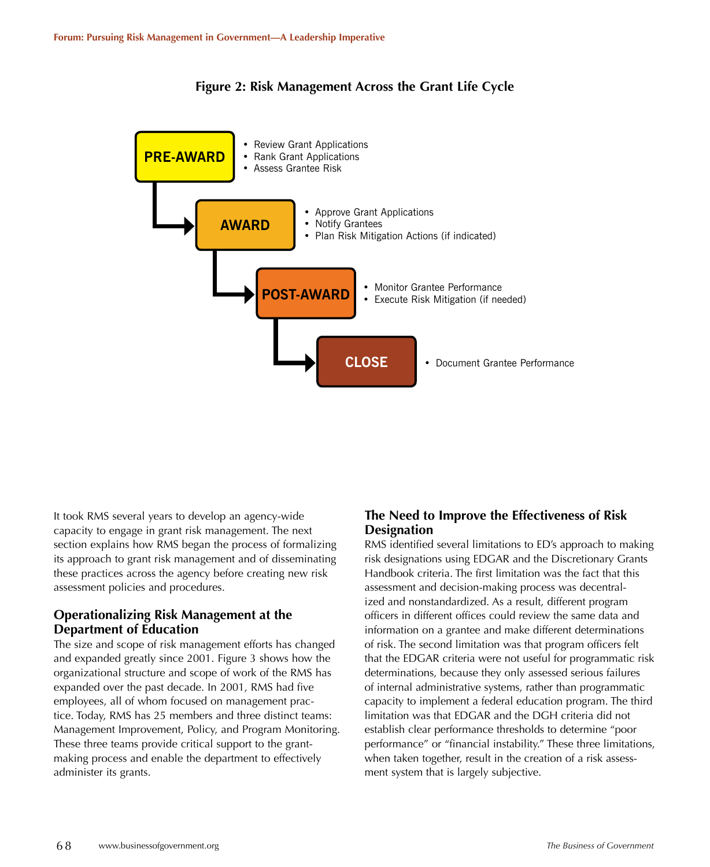



It took RMS several years to develop an agency-wide capacity to engage in grant risk management. The next section explains how RMS began the process of formalizing its approach to grant risk management and of disseminating these practices across the agency before creating new risk assessment policies and procedures.

## **Operationalizing Risk Management at the Department of Education**

The size and scope of risk management efforts has changed and expanded greatly since 2001. Figure 3 shows how the organizational structure and scope of work of the RMS has expanded over the past decade. In 2001, RMS had five employees, all of whom focused on management practice. Today, RMS has 25 members and three distinct teams: Management Improvement, Policy, and Program Monitoring. These three teams provide critical support to the grantmaking process and enable the department to effectively administer its grants.

## **The Need to Improve the Effectiveness of Risk Designation**

RMS identified several limitations to ED's approach to making risk designations using EDGAR and the Discretionary Grants Handbook criteria. The first limitation was the fact that this assessment and decision-making process was decentralized and nonstandardized. As a result, different program officers in different offices could review the same data and information on a grantee and make different determinations of risk. The second limitation was that program officers felt that the EDGAR criteria were not useful for programmatic risk determinations, because they only assessed serious failures of internal administrative systems, rather than programmatic capacity to implement a federal education program. The third limitation was that EDGAR and the DGH criteria did not establish clear performance thresholds to determine "poor performance" or "financial instability." These three limitations, when taken together, result in the creation of a risk assessment system that is largely subjective.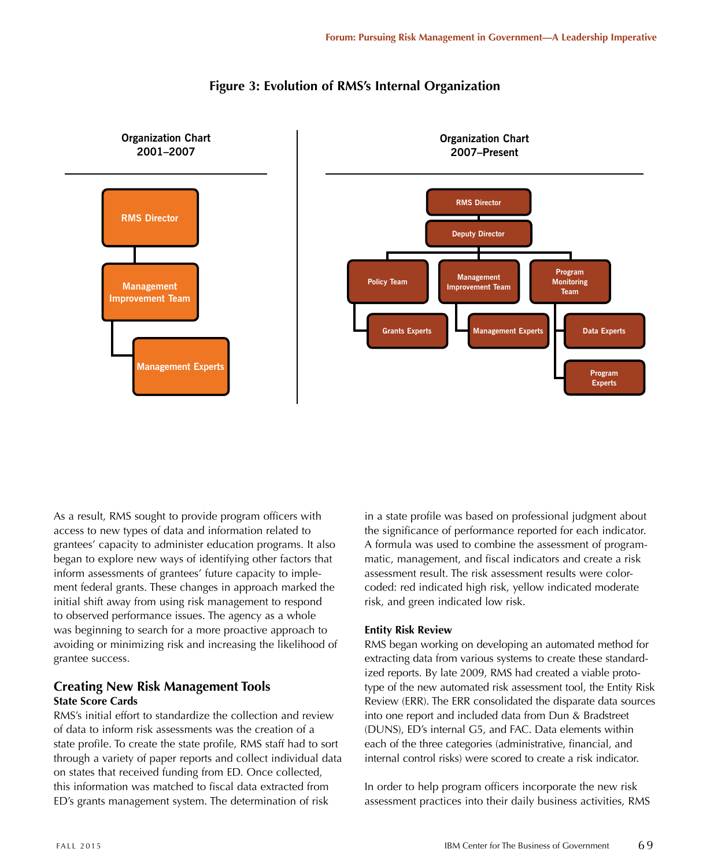

## **Figure 3: Evolution of RMS's Internal Organization**

As a result, RMS sought to provide program officers with access to new types of data and information related to grantees' capacity to administer education programs. It also began to explore new ways of identifying other factors that inform assessments of grantees' future capacity to implement federal grants. These changes in approach marked the initial shift away from using risk management to respond to observed performance issues. The agency as a whole was beginning to search for a more proactive approach to avoiding or minimizing risk and increasing the likelihood of grantee success.

## **Creating New Risk Management Tools State Score Cards**

RMS's initial effort to standardize the collection and review of data to inform risk assessments was the creation of a state profile. To create the state profile, RMS staff had to sort through a variety of paper reports and collect individual data on states that received funding from ED. Once collected, this information was matched to fiscal data extracted from ED's grants management system. The determination of risk

in a state profile was based on professional judgment about the significance of performance reported for each indicator. A formula was used to combine the assessment of programmatic, management, and fiscal indicators and create a risk assessment result. The risk assessment results were colorcoded: red indicated high risk, yellow indicated moderate risk, and green indicated low risk.

#### **Entity Risk Review**

RMS began working on developing an automated method for extracting data from various systems to create these standardized reports. By late 2009, RMS had created a viable prototype of the new automated risk assessment tool, the Entity Risk Review (ERR). The ERR consolidated the disparate data sources into one report and included data from Dun & Bradstreet (DUNS), ED's internal G5, and FAC. Data elements within each of the three categories (administrative, financial, and internal control risks) were scored to create a risk indicator.

In order to help program officers incorporate the new risk assessment practices into their daily business activities, RMS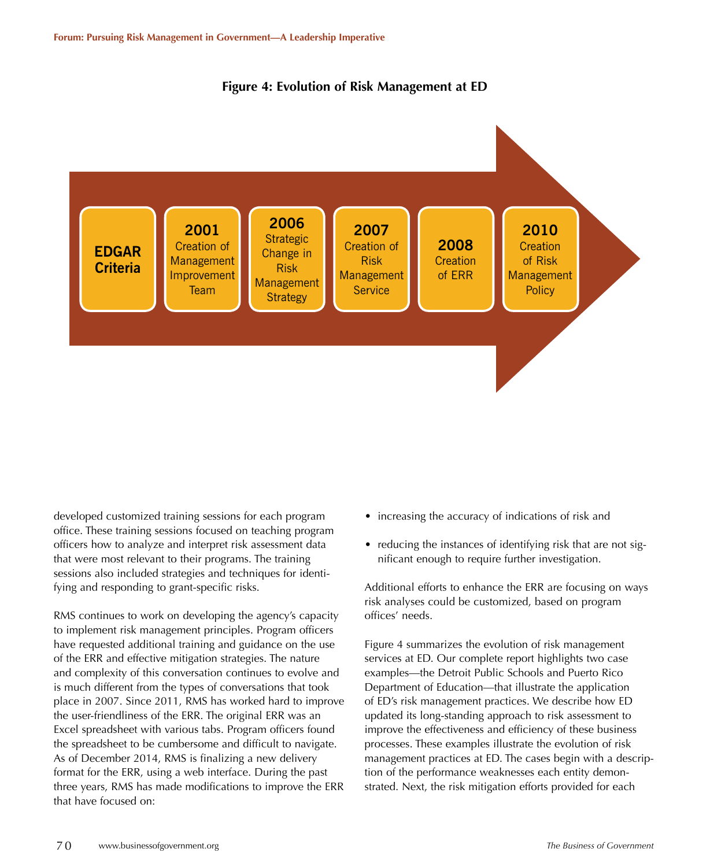



developed customized training sessions for each program office. These training sessions focused on teaching program officers how to analyze and interpret risk assessment data that were most relevant to their programs. The training sessions also included strategies and techniques for identifying and responding to grant-specific risks.

RMS continues to work on developing the agency's capacity to implement risk management principles. Program officers have requested additional training and guidance on the use of the ERR and effective mitigation strategies. The nature and complexity of this conversation continues to evolve and is much different from the types of conversations that took place in 2007. Since 2011, RMS has worked hard to improve the user-friendliness of the ERR. The original ERR was an Excel spreadsheet with various tabs. Program officers found the spreadsheet to be cumbersome and difficult to navigate. As of December 2014, RMS is finalizing a new delivery format for the ERR, using a web interface. During the past three years, RMS has made modifications to improve the ERR that have focused on:

- increasing the accuracy of indications of risk and
- reducing the instances of identifying risk that are not significant enough to require further investigation.

Additional efforts to enhance the ERR are focusing on ways risk analyses could be customized, based on program offices' needs.

Figure 4 summarizes the evolution of risk management services at ED. Our complete report highlights two case examples—the Detroit Public Schools and Puerto Rico Department of Education—that illustrate the application of ED's risk management practices. We describe how ED updated its long-standing approach to risk assessment to improve the effectiveness and efficiency of these business processes. These examples illustrate the evolution of risk management practices at ED. The cases begin with a description of the performance weaknesses each entity demonstrated. Next, the risk mitigation efforts provided for each